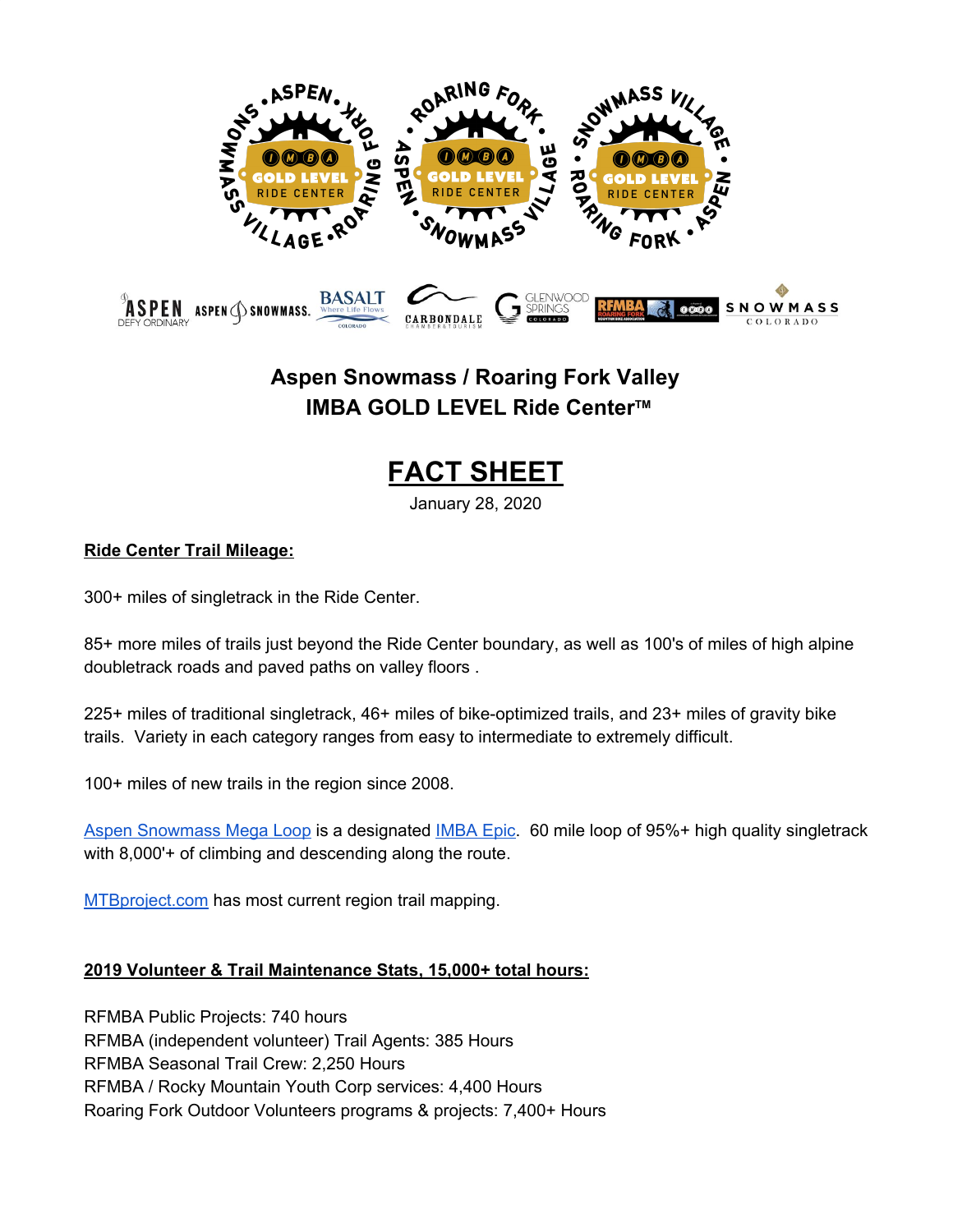

## **Aspen Snowmass / Roaring Fork Valley IMBA GOLD LEVEL Ride Center TM**

# **FACT SHEET**

January 28, 2020

## **Ride Center Trail Mileage:**

300+ miles of singletrack in the Ride Center.

85+ more miles of trails just beyond the Ride Center boundary, as well as 100's of miles of high alpine doubletrack roads and paved paths on valley floors .

225+ miles of traditional singletrack, 46+ miles of bike-optimized trails, and 23+ miles of gravity bike trails. Variety in each category ranges from easy to intermediate to extremely difficult.

100+ miles of new trails in the region since 2008.

Aspen [Snowmass](https://www.mtbproject.com/trail/7030503/aspen-snowmass-mega-loop) Mega Loop is a designated [IMBA](https://www.imba.com/ride/where-to-ride/imba-epics?param=epics) Epic. 60 mile loop of 95%+ high quality singletrack with 8,000'+ of climbing and descending along the route.

[MTBproject.com](http://mtbproject.com/) has most current region trail mapping.

### **2019 Volunteer & Trail Maintenance Stats, 15,000+ total hours:**

RFMBA Public Projects: 740 hours RFMBA (independent volunteer) Trail Agents: 385 Hours RFMBA Seasonal Trail Crew: 2,250 Hours RFMBA / Rocky Mountain Youth Corp services: 4,400 Hours Roaring Fork Outdoor Volunteers programs & projects: 7,400+ Hours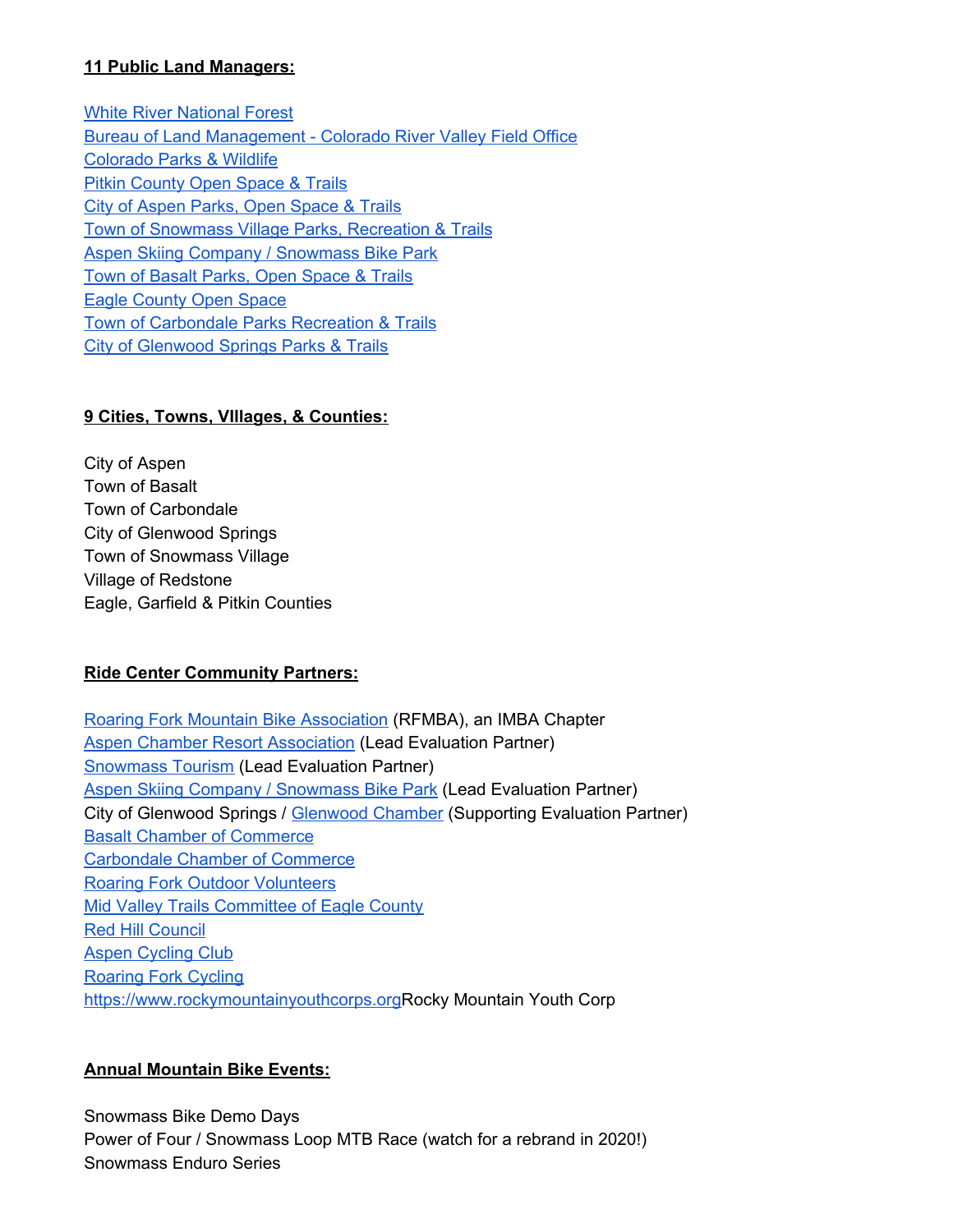#### **11 Public Land Managers:**

White River [National](https://www.fs.usda.gov/whiteriver) Forest Bureau of Land [Management](https://www.blm.gov/office/colorado-river-valley-field-office) - Colorado River Valley Field Office [Colorado](https://cpw.state.co.us/) Parks & Wildlife Pitkin [County](https://pitkincounty.com/443/Open-Space-Trails) Open Space & Trails City of [Aspen](https://www.cityofaspen.com/389/Parks-Open-Space) Parks, Open Space & Trails Town of [Snowmass](http://www.snowmassrecreation.com/) Village Parks, Recreation & Trails Aspen Skiing Company / [Snowmass](https://www.aspensnowmass.com/plan-your-stay/biking/snowmass-bike-park) Bike Park Town of Basalt Parks, Open [Space](https://www.basalt.net/431/Parks-Open-Space-Trails-Committee-POST) & Trails Eagle [County](https://www.eaglecounty.us/openspace/) Open Space Town of [Carbondale](https://www.carbondalegov.org/government/boards_&_commissions/bike,_pedestrian,_and_trails_commission/bike_pedestrian_and_trails_commission.php) Parks Recreation & Trails City of [Glenwood](http://www.glenwoodrec.com/31/Parks-Trails) Springs Parks & Trails

## **9 Cities, Towns, VIllages, & Counties:**

City of Aspen Town of Basalt Town of Carbondale City of Glenwood Springs Town of Snowmass Village Village of Redstone Eagle, Garfield & Pitkin Counties

### **Ride Center Community Partners:**

Roaring Fork Mountain Bike [Association](http://www.rfmba.org/) (RFMBA), an IMBA Chapter Aspen Chamber Resort [Association](http://www.aspenchamber.org/) (Lead Evaluation Partner) [Snowmass](http://www.gosnowmass.com/) Tourism (Lead Evaluation Partner) Aspen Skiing Company / [Snowmass](https://www.aspensnowmass.com/plan-your-stay/biking/snowmass-bike-park) Bike Park (Lead Evaluation Partner) City of Glenwood Springs / [Glenwood](https://visitglenwood.com/) Chamber (Supporting Evaluation Partner) Basalt Chamber of [Commerce](https://www.basaltchamber.org/) [Carbondale](https://www.carbondale.com/) Chamber of Commerce Roaring Fork Outdoor [Volunteers](http://rfov.org/) Mid Valley Trails [Committee](https://www.facebook.com/midvalleytrails/?tn-str=k*F) of Eagle County Red Hill [Council](http://www.redhillcouncil.org/) Aspen [Cycling](http://www.aspencyclingclub.org/) Club [Roaring](https://roaringforkcycling.org/) Fork Cycling [https://www.rockymountainyouthcorps.org](https://www.rockymountainyouthcorps.org/)Rocky Mountain Youth Corp

### **Annual Mountain Bike Events:**

Snowmass Bike Demo Days Power of Four / Snowmass Loop MTB Race (watch for a rebrand in 2020!) Snowmass Enduro Series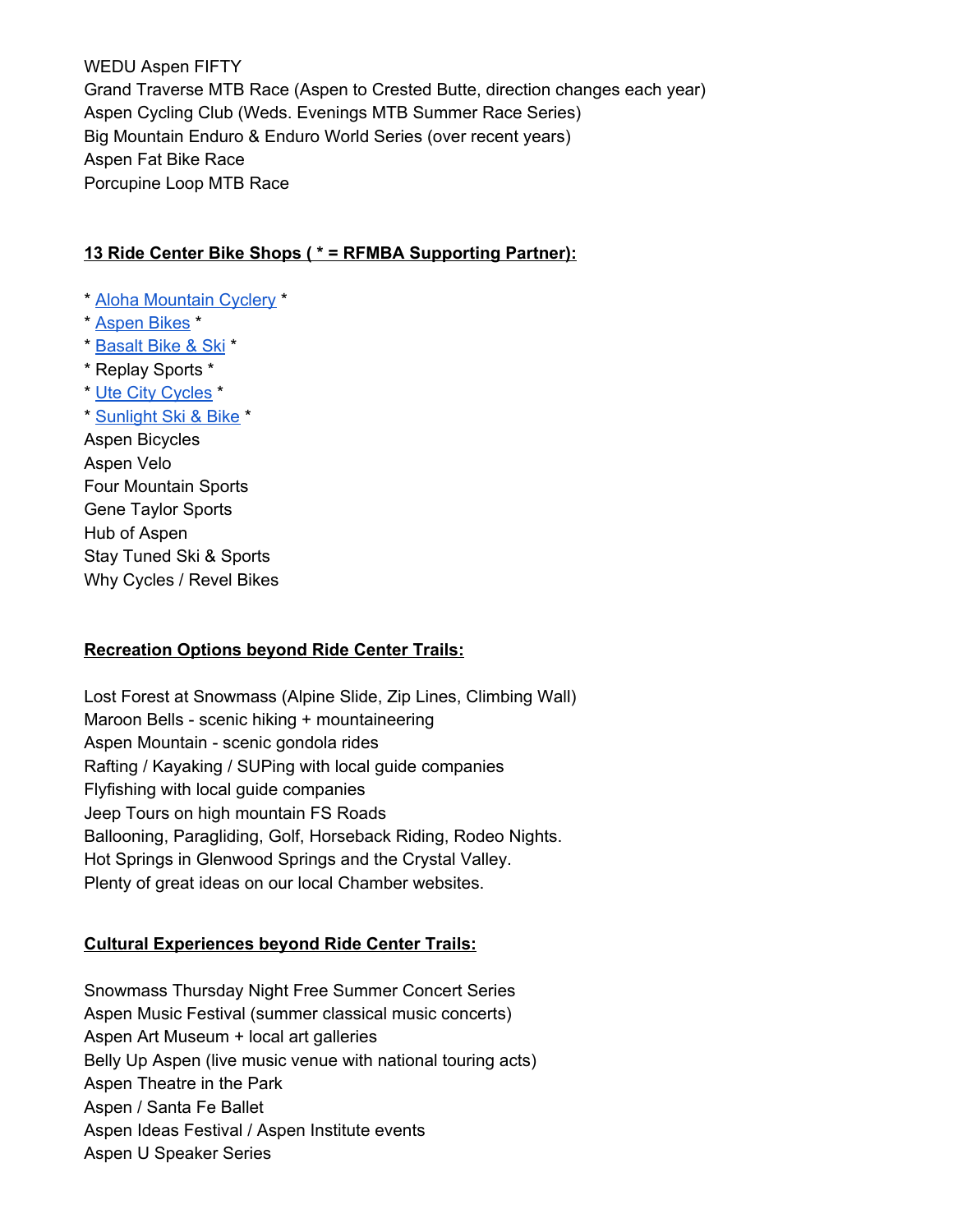WEDU Aspen FIFTY Grand Traverse MTB Race (Aspen to Crested Butte, direction changes each year) Aspen Cycling Club (Weds. Evenings MTB Summer Race Series) Big Mountain Enduro & Enduro World Series (over recent years) Aspen Fat Bike Race Porcupine Loop MTB Race

#### **13 Ride Center Bike Shops ( \* = RFMBA Supporting Partner):**

- \* Aloha [Mountain](http://www.alohamountaincyclery.com/) Cyclery \*
- \* [Aspen](https://www.aspenbikes.com/) Bikes \*
- \* [Basalt](http://www.basaltbikeandski.com/) Bike & Ski \*
- \* Replay Sports \*
- \* Ute City [Cycles](https://www.utecitycycles.com/) \*
- \* [Sunlight](https://sunlightmtn.com/ski-bike-shop) Ski & Bike \*

Aspen Bicycles Aspen Velo Four Mountain Sports Gene Taylor Sports Hub of Aspen Stay Tuned Ski & Sports Why Cycles / Revel Bikes

#### **Recreation Options beyond Ride Center Trails:**

Lost Forest at Snowmass (Alpine Slide, Zip Lines, Climbing Wall) Maroon Bells - scenic hiking + mountaineering Aspen Mountain - scenic gondola rides Rafting / Kayaking / SUPing with local guide companies Flyfishing with local guide companies Jeep Tours on high mountain FS Roads Ballooning, Paragliding, Golf, Horseback Riding, Rodeo Nights. Hot Springs in Glenwood Springs and the Crystal Valley. Plenty of great ideas on our local Chamber websites.

#### **Cultural Experiences beyond Ride Center Trails:**

Snowmass Thursday Night Free Summer Concert Series Aspen Music Festival (summer classical music concerts) Aspen Art Museum + local art galleries Belly Up Aspen (live music venue with national touring acts) Aspen Theatre in the Park Aspen / Santa Fe Ballet Aspen Ideas Festival / Aspen Institute events Aspen U Speaker Series